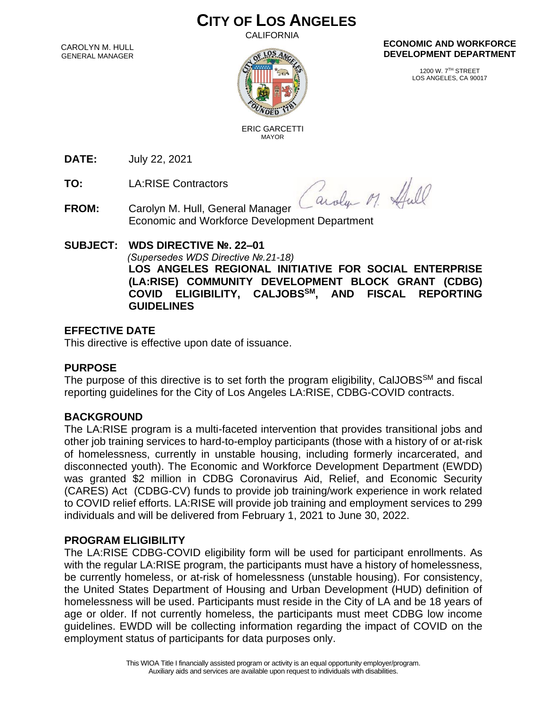# **CITY OF LOS ANGELES**

CALIFORNIA

CAROLYN M. HULL GENERAL MANAGER



#### **ECONOMIC AND WORKFORCE DEVELOPMENT DEPARTMENT**

1200 W. 7TH STREET LOS ANGELES, CA 90017

 ERIC GARCETTI MAYOR

**DATE:** July 22, 2021

**TO:** LA:RISE Contractors

Caroly M. Hull

**FROM:** Carolyn M. Hull, General Manager Economic and Workforce Development Department

## **SUBJECT: WDS DIRECTIVE №. 22–01**

 *(Supersedes WDS Directive №.21-18)*

**LOS ANGELES REGIONAL INITIATIVE FOR SOCIAL ENTERPRISE (LA:RISE) COMMUNITY DEVELOPMENT BLOCK GRANT (CDBG) COVID ELIGIBILITY, CALJOBSSM, AND FISCAL REPORTING GUIDELINES**

## **EFFECTIVE DATE**

This directive is effective upon date of issuance.

### **PURPOSE**

The purpose of this directive is to set forth the program eligibility, CalJOBS<sup>SM</sup> and fiscal reporting guidelines for the City of Los Angeles LA:RISE, CDBG-COVID contracts.

## **BACKGROUND**

The LA:RISE program is a multi-faceted intervention that provides transitional jobs and other job training services to hard-to-employ participants (those with a history of or at-risk of homelessness, currently in unstable housing, including formerly incarcerated, and disconnected youth). The Economic and Workforce Development Department (EWDD) was granted \$2 million in CDBG Coronavirus Aid, Relief, and Economic Security (CARES) Act (CDBG-CV) funds to provide job training/work experience in work related to COVID relief efforts. LA:RISE will provide job training and employment services to 299 individuals and will be delivered from February 1, 2021 to June 30, 2022.

## **PROGRAM ELIGIBILITY**

The LA:RISE CDBG-COVID eligibility form will be used for participant enrollments. As with the regular LA:RISE program, the participants must have a history of homelessness, be currently homeless, or at-risk of homelessness (unstable housing). For consistency, the United States Department of Housing and Urban Development (HUD) definition of homelessness will be used. Participants must reside in the City of LA and be 18 years of age or older. If not currently homeless, the participants must meet CDBG low income guidelines. EWDD will be collecting information regarding the impact of COVID on the employment status of participants for data purposes only.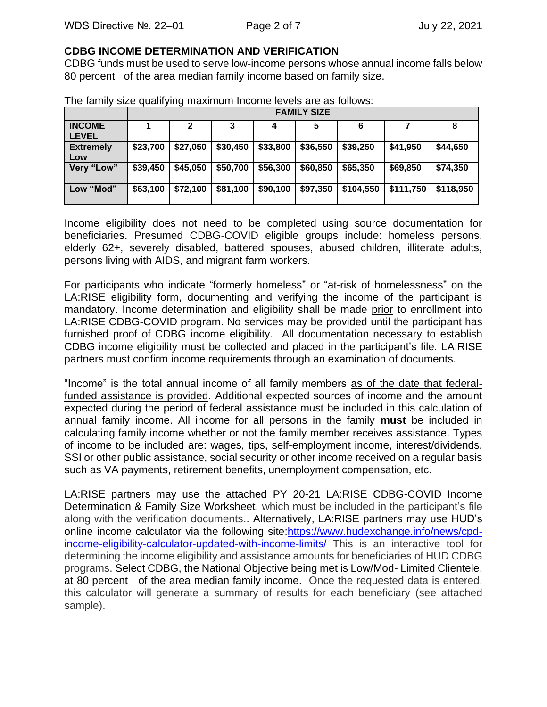#### **CDBG INCOME DETERMINATION AND VERIFICATION**

CDBG funds must be used to serve low-income persons whose annual income falls below 80 percent of the area median family income based on family size.

|                               | <b>FAMILY SIZE</b> |          |          |          |          |           |           |           |
|-------------------------------|--------------------|----------|----------|----------|----------|-----------|-----------|-----------|
| <b>INCOME</b><br><b>LEVEL</b> |                    |          |          |          |          |           |           | 8         |
| <b>Extremely</b><br>Low       | \$23,700           | \$27,050 | \$30,450 | \$33,800 | \$36,550 | \$39,250  | \$41,950  | \$44,650  |
| Very "Low"                    | \$39,450           | \$45,050 | \$50,700 | \$56,300 | \$60,850 | \$65,350  | \$69,850  | \$74,350  |
| Low "Mod"                     | \$63,100           | \$72,100 | \$81,100 | \$90,100 | \$97,350 | \$104,550 | \$111,750 | \$118,950 |

The family size qualifying maximum Income levels are as follows:

Income eligibility does not need to be completed using source documentation for beneficiaries. Presumed CDBG-COVID eligible groups include: homeless persons, elderly 62+, severely disabled, battered spouses, abused children, illiterate adults, persons living with AIDS, and migrant farm workers.

For participants who indicate "formerly homeless" or "at-risk of homelessness" on the LA:RISE eligibility form, documenting and verifying the income of the participant is mandatory. Income determination and eligibility shall be made prior to enrollment into LA:RISE CDBG-COVID program. No services may be provided until the participant has furnished proof of CDBG income eligibility. All documentation necessary to establish CDBG income eligibility must be collected and placed in the participant's file. LA:RISE partners must confirm income requirements through an examination of documents.

"Income" is the total annual income of all family members as of the date that federalfunded assistance is provided. Additional expected sources of income and the amount expected during the period of federal assistance must be included in this calculation of annual family income. All income for all persons in the family **must** be included in calculating family income whether or not the family member receives assistance. Types of income to be included are: wages, tips, self-employment income, interest/dividends, SSI or other public assistance, social security or other income received on a regular basis such as VA payments, retirement benefits, unemployment compensation, etc.

LA:RISE partners may use the attached PY 20-21 LA:RISE CDBG-COVID Income Determination & Family Size Worksheet, which must be included in the participant's file along with the verification documents.. Alternatively, LA:RISE partners may use HUD's online income calculator via the following site[:https://www.hudexchange.info/news/cpd](https://www.hudexchange.info/news/cpd-income-eligibility-calculator-updated-with-income-limits/)[income-eligibility-calculator-updated-with-income-limits/](https://www.hudexchange.info/news/cpd-income-eligibility-calculator-updated-with-income-limits/) This is an interactive tool for determining the income eligibility and assistance amounts for beneficiaries of HUD CDBG programs. Select CDBG, the National Objective being met is Low/Mod- Limited Clientele, at 80 percent of the area median family income. Once the requested data is entered, this calculator will generate a summary of results for each beneficiary (see attached sample).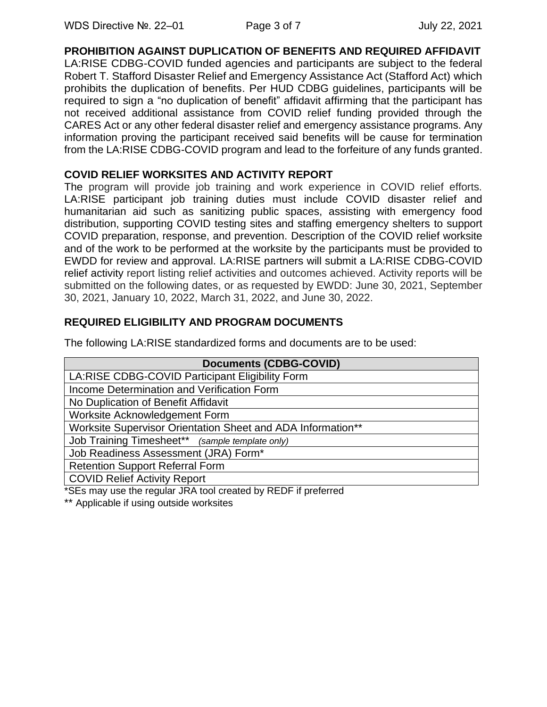**PROHIBITION AGAINST DUPLICATION OF BENEFITS AND REQUIRED AFFIDAVIT**

LA:RISE CDBG-COVID funded agencies and participants are subject to the federal Robert T. Stafford Disaster Relief and Emergency Assistance Act (Stafford Act) which prohibits the duplication of benefits. Per HUD CDBG guidelines, participants will be required to sign a "no duplication of benefit" affidavit affirming that the participant has not received additional assistance from COVID relief funding provided through the CARES Act or any other federal disaster relief and emergency assistance programs. Any information proving the participant received said benefits will be cause for termination from the LA:RISE CDBG-COVID program and lead to the forfeiture of any funds granted.

### **COVID RELIEF WORKSITES AND ACTIVITY REPORT**

The program will provide job training and work experience in COVID relief efforts. LA:RISE participant job training duties must include COVID disaster relief and humanitarian aid such as sanitizing public spaces, assisting with emergency food distribution, supporting COVID testing sites and staffing emergency shelters to support COVID preparation, response, and prevention. Description of the COVID relief worksite and of the work to be performed at the worksite by the participants must be provided to EWDD for review and approval. LA:RISE partners will submit a LA:RISE CDBG-COVID relief activity report listing relief activities and outcomes achieved. Activity reports will be submitted on the following dates, or as requested by EWDD: June 30, 2021, September 30, 2021, January 10, 2022, March 31, 2022, and June 30, 2022.

## **REQUIRED ELIGIBILITY AND PROGRAM DOCUMENTS**

The following LA:RISE standardized forms and documents are to be used:

| <b>Documents (CDBG-COVID)</b>                                  |  |  |
|----------------------------------------------------------------|--|--|
| LA:RISE CDBG-COVID Participant Eligibility Form                |  |  |
| Income Determination and Verification Form                     |  |  |
| No Duplication of Benefit Affidavit                            |  |  |
| Worksite Acknowledgement Form                                  |  |  |
| Worksite Supervisor Orientation Sheet and ADA Information**    |  |  |
| Job Training Timesheet** (sample template only)                |  |  |
| Job Readiness Assessment (JRA) Form*                           |  |  |
| <b>Retention Support Referral Form</b>                         |  |  |
| <b>COVID Relief Activity Report</b>                            |  |  |
| *SEs may use the regular JRA tool created by REDF if preferred |  |  |

\*\* Applicable if using outside worksites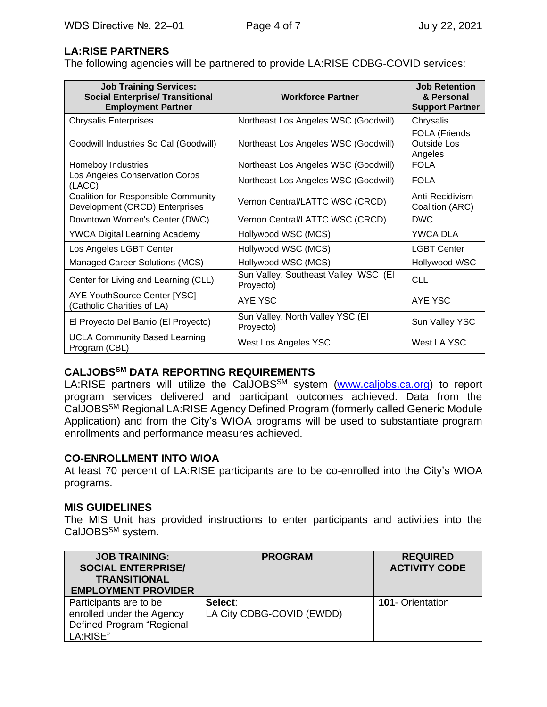## **LA:RISE PARTNERS**

The following agencies will be partnered to provide LA:RISE CDBG-COVID services:

| <b>Job Training Services:</b><br><b>Social Enterprise/ Transitional</b><br><b>Employment Partner</b> | <b>Workforce Partner</b>                          | <b>Job Retention</b><br>& Personal<br><b>Support Partner</b> |
|------------------------------------------------------------------------------------------------------|---------------------------------------------------|--------------------------------------------------------------|
| <b>Chrysalis Enterprises</b>                                                                         | Northeast Los Angeles WSC (Goodwill)              | Chrysalis                                                    |
| Goodwill Industries So Cal (Goodwill)                                                                | Northeast Los Angeles WSC (Goodwill)              | <b>FOLA (Friends</b><br>Outside Los<br>Angeles               |
| Homeboy Industries                                                                                   | Northeast Los Angeles WSC (Goodwill)              | <b>FOLA</b>                                                  |
| Los Angeles Conservation Corps<br>(LACC)                                                             | Northeast Los Angeles WSC (Goodwill)              | <b>FOLA</b>                                                  |
| <b>Coalition for Responsible Community</b><br>Development (CRCD) Enterprises                         | Vernon Central/LATTC WSC (CRCD)                   | Anti-Recidivism<br>Coalition (ARC)                           |
| Downtown Women's Center (DWC)                                                                        | Vernon Central/LATTC WSC (CRCD)                   | <b>DWC</b>                                                   |
| <b>YWCA Digital Learning Academy</b>                                                                 | Hollywood WSC (MCS)                               | YWCA DLA                                                     |
| Los Angeles LGBT Center                                                                              | Hollywood WSC (MCS)                               | <b>LGBT Center</b>                                           |
| Managed Career Solutions (MCS)                                                                       | Hollywood WSC (MCS)                               | Hollywood WSC                                                |
| Center for Living and Learning (CLL)                                                                 | Sun Valley, Southeast Valley WSC (El<br>Proyecto) | <b>CLL</b>                                                   |
| <b>AYE YouthSource Center [YSC]</b><br>(Catholic Charities of LA)                                    | AYE YSC                                           | AYE YSC                                                      |
| El Proyecto Del Barrio (El Proyecto)                                                                 | Sun Valley, North Valley YSC (EI<br>Proyecto)     | Sun Valley YSC                                               |
| <b>UCLA Community Based Learning</b><br>Program (CBL)                                                | West Los Angeles YSC                              | West LA YSC                                                  |

### **CALJOBSSM DATA REPORTING REQUIREMENTS**

LA:RISE partners will utilize the CalJOBS<sup>SM</sup> system [\(www.caljobs.ca.org\)](http://www.caljobs.ca.org/) to report program services delivered and participant outcomes achieved. Data from the CalJOBSSM Regional LA:RISE Agency Defined Program (formerly called Generic Module Application) and from the City's WIOA programs will be used to substantiate program enrollments and performance measures achieved.

### **CO-ENROLLMENT INTO WIOA**

At least 70 percent of LA:RISE participants are to be co-enrolled into the City's WIOA programs.

### **MIS GUIDELINES**

The MIS Unit has provided instructions to enter participants and activities into the CalJOBS<sup>SM</sup> system.

| <b>JOB TRAINING:</b><br><b>SOCIAL ENTERPRISE/</b><br><b>TRANSITIONAL</b><br><b>EMPLOYMENT PROVIDER</b> | <b>PROGRAM</b>                       | <b>REQUIRED</b><br><b>ACTIVITY CODE</b> |
|--------------------------------------------------------------------------------------------------------|--------------------------------------|-----------------------------------------|
| Participants are to be<br>enrolled under the Agency<br>Defined Program "Regional<br>LA:RISE"           | Select:<br>LA City CDBG-COVID (EWDD) | <b>101- Orientation</b>                 |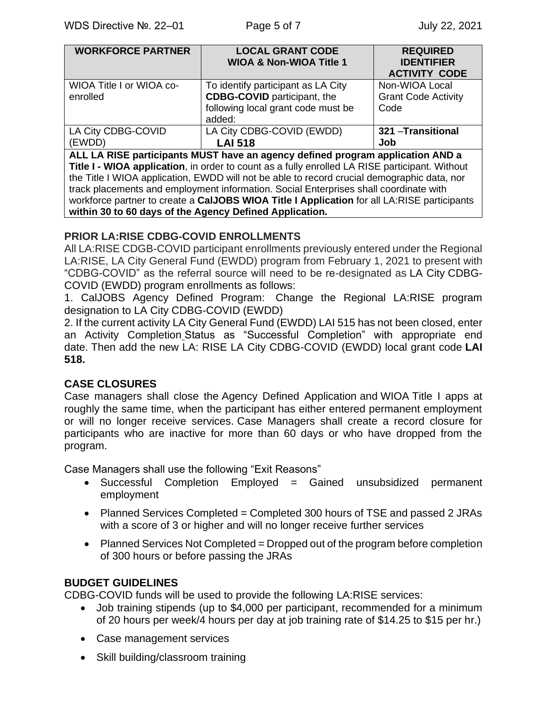| <b>WORKFORCE PARTNER</b>                                                                       | <b>LOCAL GRANT CODE</b>            | <b>REQUIRED</b>            |  |  |  |
|------------------------------------------------------------------------------------------------|------------------------------------|----------------------------|--|--|--|
|                                                                                                | <b>WIOA &amp; Non-WIOA Title 1</b> | <b>IDENTIFIER</b>          |  |  |  |
|                                                                                                |                                    | <b>ACTIVITY CODE</b>       |  |  |  |
| WIOA Title I or WIOA co-                                                                       | To identify participant as LA City | Non-WIOA Local             |  |  |  |
| enrolled                                                                                       | <b>CDBG-COVID</b> participant, the | <b>Grant Code Activity</b> |  |  |  |
|                                                                                                | following local grant code must be | Code                       |  |  |  |
|                                                                                                | added:                             |                            |  |  |  |
| LA City CDBG-COVID                                                                             | LA City CDBG-COVID (EWDD)          | 321 - Transitional         |  |  |  |
| (EWDD)                                                                                         | <b>LAI 518</b>                     | Job                        |  |  |  |
| ALL LA RISE participants MUST have an agency defined program application AND a                 |                                    |                            |  |  |  |
| Title I - WIOA application, in order to count as a fully enrolled LA RISE participant. Without |                                    |                            |  |  |  |
| the Title I WIOA application, EWDD will not be able to record crucial demographic data, nor    |                                    |                            |  |  |  |
| track placements and employment information. Social Enterprises shall coordinate with          |                                    |                            |  |  |  |
|                                                                                                |                                    |                            |  |  |  |

workforce partner to create a **CalJOBS WIOA Title I Application** for all LA:RISE participants **within 30 to 60 days of the Agency Defined Application.**

## **PRIOR LA:RISE CDBG-COVID ENROLLMENTS**

All LA:RISE CDGB-COVID participant enrollments previously entered under the Regional LA:RISE, LA City General Fund (EWDD) program from February 1, 2021 to present with "CDBG-COVID" as the referral source will need to be re-designated as LA City CDBG-COVID (EWDD) program enrollments as follows:

1. CalJOBS Agency Defined Program: Change the Regional LA:RISE program designation to LA City CDBG-COVID (EWDD)

2. If the current activity LA City General Fund (EWDD) LAI 515 has not been closed, enter an Activity Completion Status as "Successful Completion" with appropriate end date. Then add the new LA: RISE LA City CDBG-COVID (EWDD) local grant code **LAI 518.**

## **CASE CLOSURES**

Case managers shall close the Agency Defined Application and WIOA Title I apps at roughly the same time, when the participant has either entered permanent employment or will no longer receive services. Case Managers shall create a record closure for participants who are inactive for more than 60 days or who have dropped from the program.

Case Managers shall use the following "Exit Reasons"

- Successful Completion Employed = Gained unsubsidized permanent employment
- Planned Services Completed = Completed 300 hours of TSE and passed 2 JRAs with a score of 3 or higher and will no longer receive further services
- Planned Services Not Completed = Dropped out of the program before completion of 300 hours or before passing the JRAs

## **BUDGET GUIDELINES**

CDBG-COVID funds will be used to provide the following LA:RISE services:

- Job training stipends (up to \$4,000 per participant, recommended for a minimum of 20 hours per week/4 hours per day at job training rate of \$14.25 to \$15 per hr.)
- Case management services
- Skill building/classroom training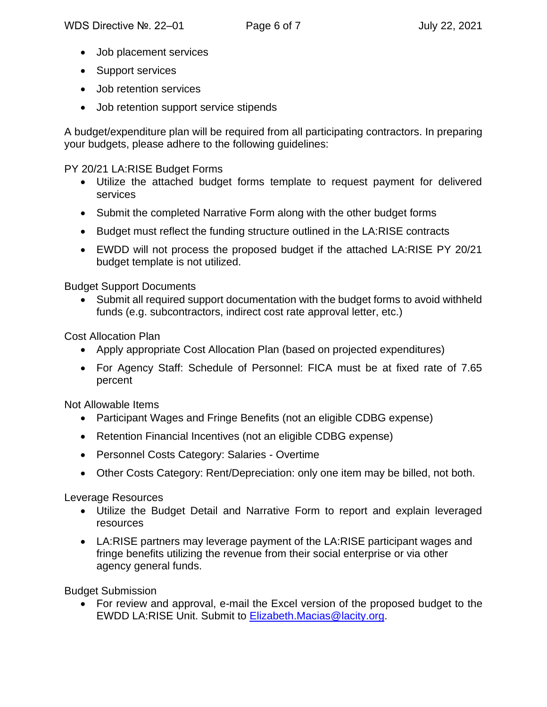- Job placement services
- Support services
- Job retention services
- Job retention support service stipends

A budget/expenditure plan will be required from all participating contractors. In preparing your budgets, please adhere to the following guidelines:

## PY 20/21 LA:RISE Budget Forms

- Utilize the attached budget forms template to request payment for delivered services
- Submit the completed Narrative Form along with the other budget forms
- Budget must reflect the funding structure outlined in the LA:RISE contracts
- EWDD will not process the proposed budget if the attached LA:RISE PY 20/21 budget template is not utilized.

## Budget Support Documents

• Submit all required support documentation with the budget forms to avoid withheld funds (e.g. subcontractors, indirect cost rate approval letter, etc.)

Cost Allocation Plan

- Apply appropriate Cost Allocation Plan (based on projected expenditures)
- For Agency Staff: Schedule of Personnel: FICA must be at fixed rate of 7.65 percent

Not Allowable Items

- Participant Wages and Fringe Benefits (not an eligible CDBG expense)
- Retention Financial Incentives (not an eligible CDBG expense)
- Personnel Costs Category: Salaries Overtime
- Other Costs Category: Rent/Depreciation: only one item may be billed, not both.

Leverage Resources

- Utilize the Budget Detail and Narrative Form to report and explain leveraged resources
- LA:RISE partners may leverage payment of the LA:RISE participant wages and fringe benefits utilizing the revenue from their social enterprise or via other agency general funds.

Budget Submission

• For review and approval, e-mail the Excel version of the proposed budget to the EWDD LA:RISE Unit. Submit to [Elizabeth.Macias@lacity.org.](mailto:Elizabeth.Macias@lacity.org)